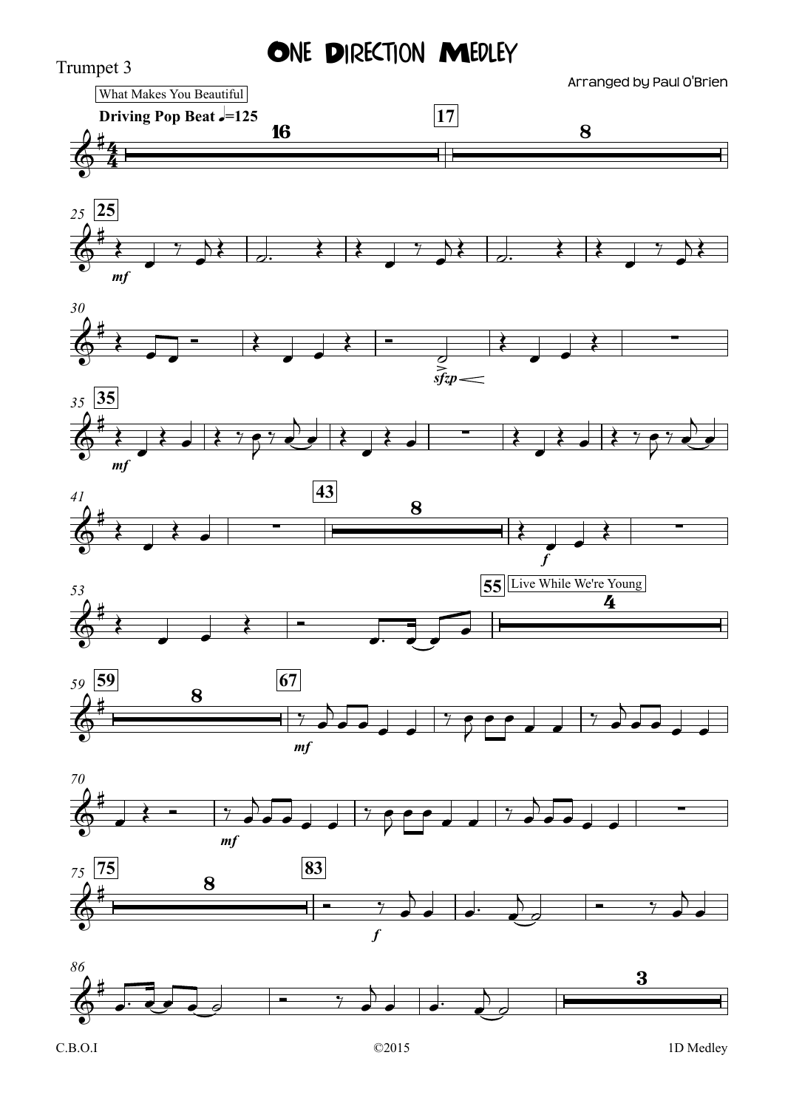## ONE DIRECTION MEDLEY